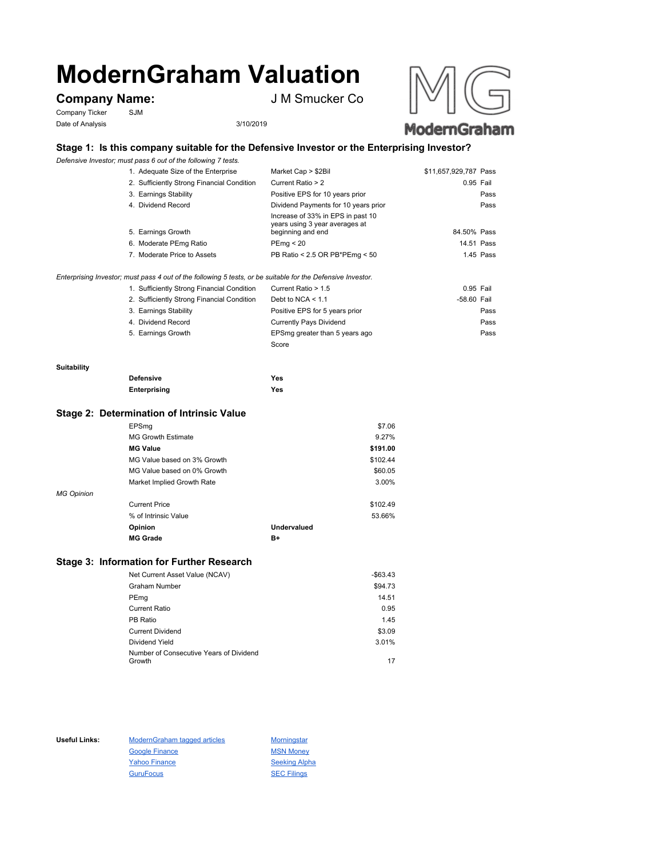# **ModernGraham Valuation**

# **Company Name:** J M Smucker Co

Company Ticker SJM Date of Analysis 3/10/2019



## **Stage 1: Is this company suitable for the Defensive Investor or the Enterprising Investor?**

*Defensive Investor; must pass 6 out of the following 7 tests.*

| 1. Adequate Size of the Enterprise         | Market Cap > \$2Bil                                                                      | \$11,657,929,787 Pass |
|--------------------------------------------|------------------------------------------------------------------------------------------|-----------------------|
| 2. Sufficiently Strong Financial Condition | Current Ratio > 2                                                                        | 0.95 Fail             |
| 3. Earnings Stability                      | Positive EPS for 10 years prior                                                          | Pass                  |
| 4. Dividend Record                         | Dividend Payments for 10 years prior                                                     | Pass                  |
| 5. Earnings Growth                         | Increase of 33% in EPS in past 10<br>years using 3 year averages at<br>beginning and end | 84.50% Pass           |
| 6. Moderate PEmg Ratio                     | PEmg < 20                                                                                | 14.51 Pass            |
| 7. Moderate Price to Assets                | PB Ratio < 2.5 OR PB*PEmg < 50                                                           | 1.45 Pass             |

*Enterprising Investor; must pass 4 out of the following 5 tests, or be suitable for the Defensive Investor.*

| 1. Sufficiently Strong Financial Condition | Current Ratio > 1.5            | 0.95 Fail   |      |
|--------------------------------------------|--------------------------------|-------------|------|
| 2. Sufficiently Strong Financial Condition | Debt to NCA $<$ 1.1            | -58.60 Fail |      |
| 3. Earnings Stability                      | Positive EPS for 5 years prior |             | Pass |
| 4. Dividend Record                         | <b>Currently Pays Dividend</b> |             | Pass |
| 5. Earnings Growth                         | EPSmg greater than 5 years ago |             | Pass |
|                                            | Score                          |             |      |

#### **Suitability**

| <b>Defensive</b> | Yes |
|------------------|-----|
| Enterprising     | Yes |

#### **Stage 2: Determination of Intrinsic Value**

|                   | EPSmg                       |                    | \$7.06   |
|-------------------|-----------------------------|--------------------|----------|
|                   | <b>MG Growth Estimate</b>   |                    | 9.27%    |
|                   | <b>MG Value</b>             |                    | \$191.00 |
|                   | MG Value based on 3% Growth |                    | \$102.44 |
|                   | MG Value based on 0% Growth |                    | \$60.05  |
|                   | Market Implied Growth Rate  |                    | 3.00%    |
| <b>MG Opinion</b> |                             |                    |          |
|                   | <b>Current Price</b>        |                    | \$102.49 |
|                   | % of Intrinsic Value        |                    | 53.66%   |
|                   | Opinion                     | <b>Undervalued</b> |          |
|                   | <b>MG Grade</b>             | B+                 |          |
|                   |                             |                    |          |

### **Stage 3: Information for Further Research**

| Net Current Asset Value (NCAV)          | $-$63.43$ |
|-----------------------------------------|-----------|
| Graham Number                           | \$94.73   |
| PEmg                                    | 14.51     |
| Current Ratio                           | 0.95      |
| PB Ratio                                | 1.45      |
| <b>Current Dividend</b>                 | \$3.09    |
| Dividend Yield                          | 3.01%     |
| Number of Consecutive Years of Dividend |           |
| Growth                                  | 17        |

Useful Links: ModernGraham tagged articles Morningstar Google Finance MSN Money Yahoo Finance Seeking Alpha GuruFocus SEC Filings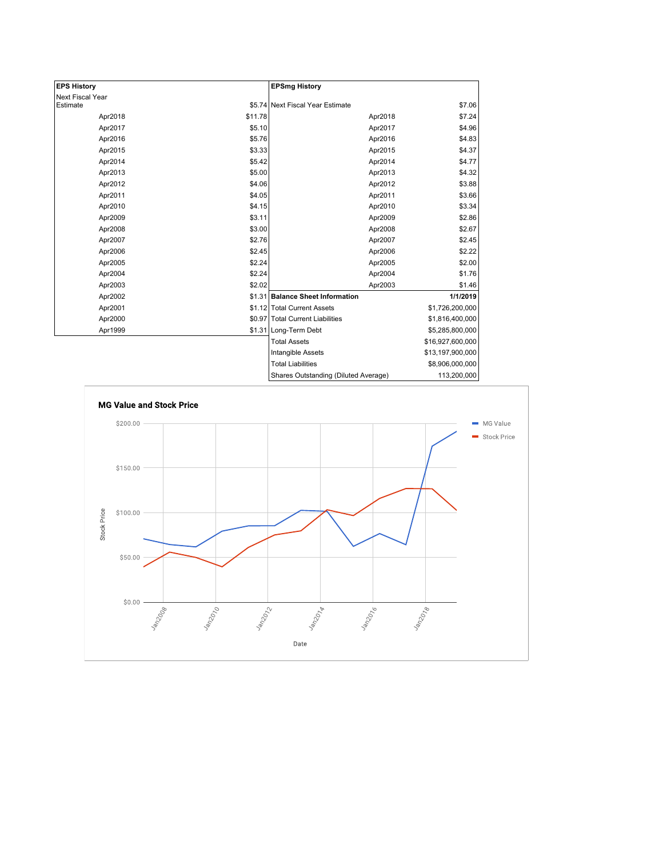| <b>EPS History</b> |         | <b>EPSmg History</b>                 |                  |
|--------------------|---------|--------------------------------------|------------------|
| Next Fiscal Year   |         |                                      |                  |
| Estimate           |         | \$5.74 Next Fiscal Year Estimate     | \$7.06           |
| Apr2018            | \$11.78 | Apr2018                              | \$7.24           |
| Apr2017            | \$5.10  | Apr2017                              | \$4.96           |
| Apr2016            | \$5.76  | Apr2016                              | \$4.83           |
| Apr2015            | \$3.33  | Apr2015                              | \$4.37           |
| Apr2014            | \$5.42  | Apr2014                              | \$4.77           |
| Apr2013            | \$5.00  | Apr2013                              | \$4.32           |
| Apr2012            | \$4.06  | Apr2012                              | \$3.88           |
| Apr2011            | \$4.05  | Apr2011                              | \$3.66           |
| Apr2010            | \$4.15  | Apr2010                              | \$3.34           |
| Apr2009            | \$3.11  | Apr2009                              | \$2.86           |
| Apr2008            | \$3.00  | Apr2008                              | \$2.67           |
| Apr2007            | \$2.76  | Apr2007                              | \$2.45           |
| Apr2006            | \$2.45  | Apr2006                              | \$2.22           |
| Apr2005            | \$2.24  | Apr2005                              | \$2.00           |
| Apr2004            | \$2.24  | Apr2004                              | \$1.76           |
| Apr2003            | \$2.02  | Apr2003                              | \$1.46           |
| Apr2002            |         | \$1.31 Balance Sheet Information     | 1/1/2019         |
| Apr2001            |         | \$1.12 Total Current Assets          | \$1,726,200,000  |
| Apr2000            |         | \$0.97 Total Current Liabilities     | \$1,816,400,000  |
| Apr1999            |         | \$1.31 Long-Term Debt                | \$5,285,800,000  |
|                    |         | <b>Total Assets</b>                  | \$16,927,600,000 |
|                    |         | Intangible Assets                    | \$13,197,900,000 |
|                    |         | <b>Total Liabilities</b>             | \$8,906,000,000  |
|                    |         | Charge Outetanding (Diluted Average) | 113 200 000      |